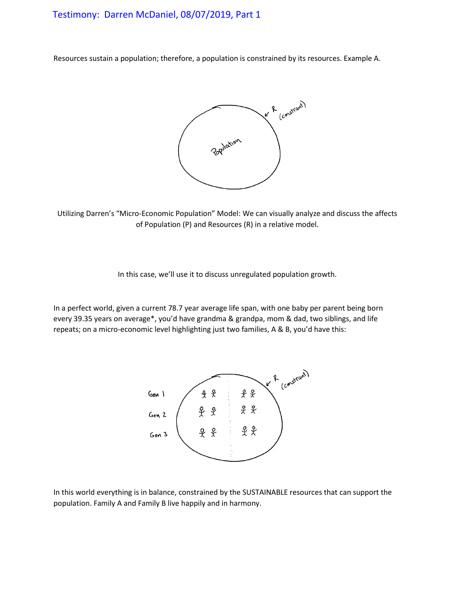# Testimony: Darren McDaniel, 08/07/2019, Part 1

Resources sustain a population; therefore, a population is constrained by its resources. Example A.



Utilizing Darren's "Micro-Economic Population" Model: We can visually analyze and discuss the affects of Population (P) and Resources (R) in a relative model.

In this case, we'll use it to discuss unregulated population growth.

In a perfect world, given a current 78.7 year average life span, with one baby per parent being born every 39.35 years on average\*, you'd have grandma & grandpa, mom & dad, two siblings, and life repeats; on a micro-economic level highlighting just two families, A & B, you'd have this:



In this world everything is in balance, constrained by the SUSTAINABLE resources that can support the population. Family A and Family B live happily and in harmony.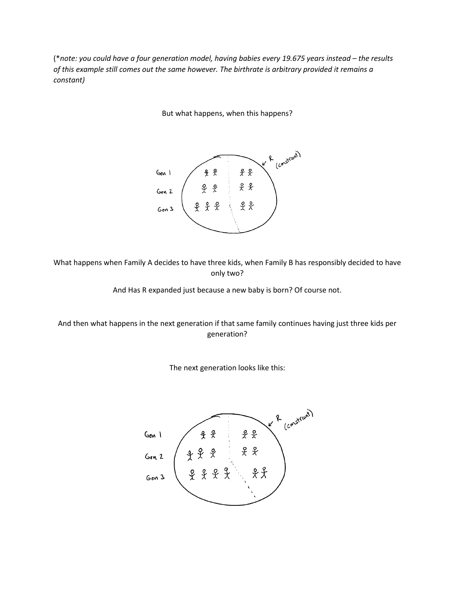(\**note: you could have a four generation model, having babies every 19.675 years instead – the results of this example still comes out the same however. The birthrate is arbitrary provided it remains a constant)*

But what happens, when this happens?



What happens when Family A decides to have three kids, when Family B has responsibly decided to have only two?

And Has R expanded just because a new baby is born? Of course not.

And then what happens in the next generation if that same family continues having just three kids per generation?



The next generation looks like this: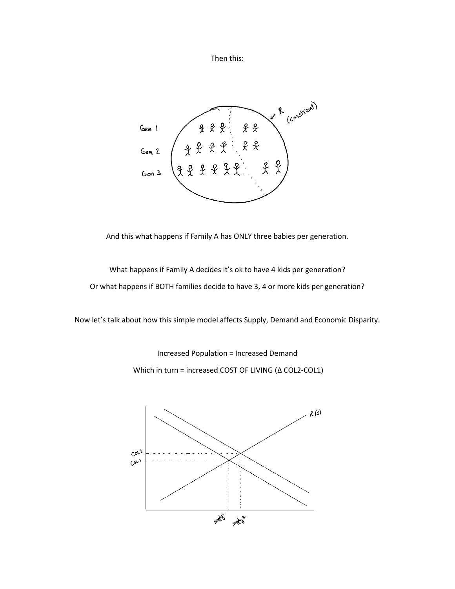Then this:



And this what happens if Family A has ONLY three babies per generation.

What happens if Family A decides it's ok to have 4 kids per generation? Or what happens if BOTH families decide to have 3, 4 or more kids per generation?

Now let's talk about how this simple model affects Supply, Demand and Economic Disparity.

Increased Population = Increased Demand

Which in turn = increased COST OF LIVING (Δ COL2-COL1)

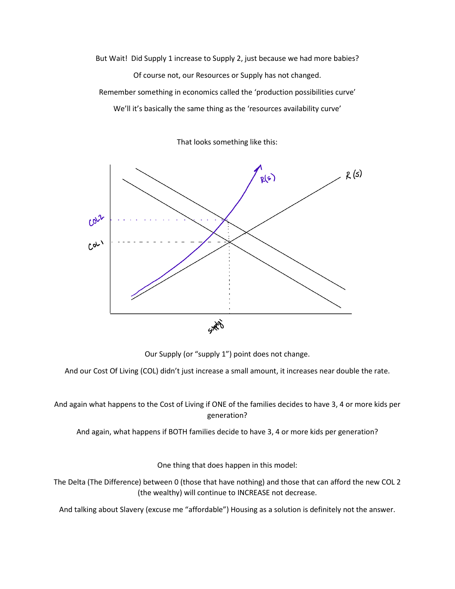But Wait! Did Supply 1 increase to Supply 2, just because we had more babies? Of course not, our Resources or Supply has not changed. Remember something in economics called the 'production possibilities curve' We'll it's basically the same thing as the 'resources availability curve'

That looks something like this:



Our Supply (or "supply 1") point does not change.

And our Cost Of Living (COL) didn't just increase a small amount, it increases near double the rate.

And again what happens to the Cost of Living if ONE of the families decides to have 3, 4 or more kids per generation?

And again, what happens if BOTH families decide to have 3, 4 or more kids per generation?

One thing that does happen in this model:

The Delta (The Difference) between 0 (those that have nothing) and those that can afford the new COL 2 (the wealthy) will continue to INCREASE not decrease.

And talking about Slavery (excuse me "affordable") Housing as a solution is definitely not the answer.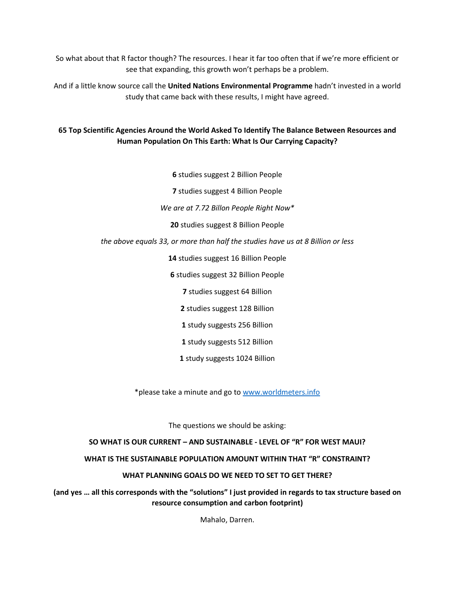So what about that R factor though? The resources. I hear it far too often that if we're more efficient or see that expanding, this growth won't perhaps be a problem.

And if a little know source call the **United Nations Environmental Programme** hadn't invested in a world study that came back with these results, I might have agreed.

# **65 Top Scientific Agencies Around the World Asked To Identify The Balance Between Resources and Human Population On This Earth: What Is Our Carrying Capacity?**

**6** studies suggest 2 Billion People

**7** studies suggest 4 Billion People

*We are at 7.72 Billon People Right Now\**

**20** studies suggest 8 Billion People

#### *the above equals 33, or more than half the studies have us at 8 Billion or less*

**14** studies suggest 16 Billion People

**6** studies suggest 32 Billion People

**7** studies suggest 64 Billion

**2** studies suggest 128 Billion

**1** study suggests 256 Billion

**1** study suggests 512 Billion

**1** study suggests 1024 Billion

\*please take a minute and go to www.worldmeters.info

The questions we should be asking:

#### **SO WHAT IS OUR CURRENT – AND SUSTAINABLE - LEVEL OF "R" FOR WEST MAUI?**

## **WHAT IS THE SUSTAINABLE POPULATION AMOUNT WITHIN THAT "R" CONSTRAINT?**

#### **WHAT PLANNING GOALS DO WE NEED TO SET TO GET THERE?**

**(and yes … all this corresponds with the "solutions" I just provided in regards to tax structure based on resource consumption and carbon footprint)** 

Mahalo, Darren.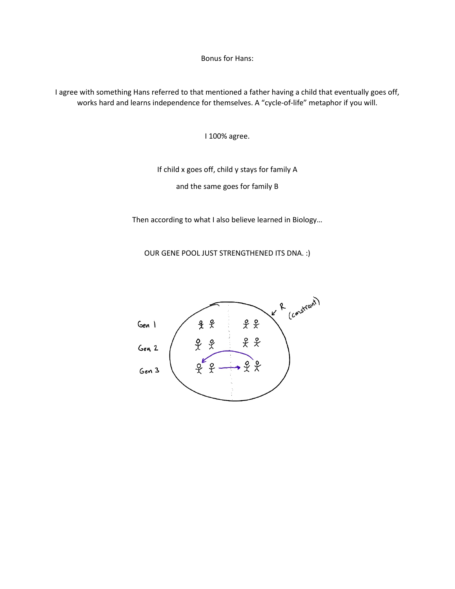Bonus for Hans:

I agree with something Hans referred to that mentioned a father having a child that eventually goes off, works hard and learns independence for themselves. A "cycle-of-life" metaphor if you will.

I 100% agree.

If child x goes off, child y stays for family A and the same goes for family B

Then according to what I also believe learned in Biology…

OUR GENE POOL JUST STRENGTHENED ITS DNA. :)

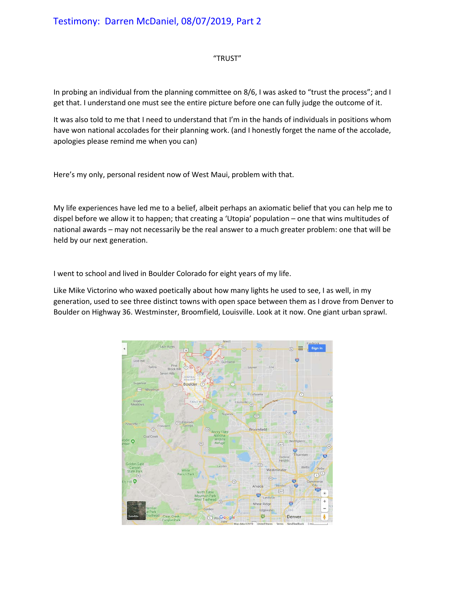## "TRUST"

In probing an individual from the planning committee on 8/6, I was asked to "trust the process"; and I get that. I understand one must see the entire picture before one can fully judge the outcome of it.

It was also told to me that I need to understand that I'm in the hands of individuals in positions whom have won national accolades for their planning work. (and I honestly forget the name of the accolade, apologies please remind me when you can)

Here's my only, personal resident now of West Maui, problem with that.

My life experiences have led me to a belief, albeit perhaps an axiomatic belief that you can help me to dispel before we allow it to happen; that creating a 'Utopia' population – one that wins multitudes of national awards – may not necessarily be the real answer to a much greater problem: one that will be held by our next generation.

I went to school and lived in Boulder Colorado for eight years of my life.

Like Mike Victorino who waxed poetically about how many lights he used to see, I as well, in my generation, used to see three distinct towns with open space between them as I drove from Denver to Boulder on Highway 36. Westminster, Broomfield, Louisville. Look at it now. One giant urban sprawl.

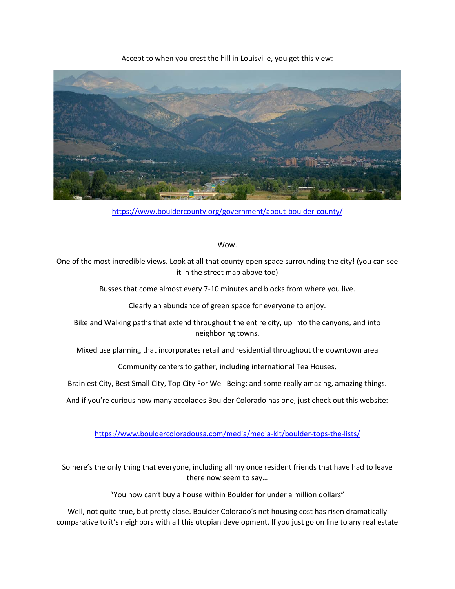

Accept to when you crest the hill in Louisville, you get this view:

<https://www.bouldercounty.org/government/about-boulder-county/>

Wow.

One of the most incredible views. Look at all that county open space surrounding the city! (you can see it in the street map above too)

Busses that come almost every 7-10 minutes and blocks from where you live.

Clearly an abundance of green space for everyone to enjoy.

Bike and Walking paths that extend throughout the entire city, up into the canyons, and into neighboring towns.

Mixed use planning that incorporates retail and residential throughout the downtown area

Community centers to gather, including international Tea Houses,

Brainiest City, Best Small City, Top City For Well Being; and some really amazing, amazing things.

And if you're curious how many accolades Boulder Colorado has one, just check out this website:

<https://www.bouldercoloradousa.com/media/media-kit/boulder-tops-the-lists/>

So here's the only thing that everyone, including all my once resident friends that have had to leave there now seem to say…

"You now can't buy a house within Boulder for under a million dollars"

Well, not quite true, but pretty close. Boulder Colorado's net housing cost has risen dramatically comparative to it's neighbors with all this utopian development. If you just go on line to any real estate